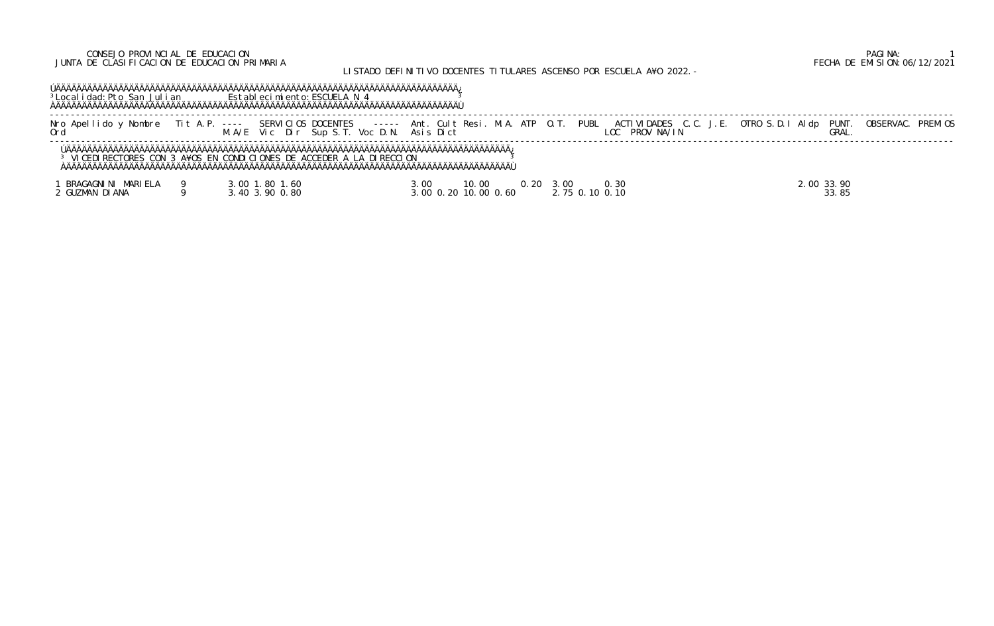#### CONSEJO PROVINCIAL DE EDUCACION PAGINA: 1 JUNTA DE CLASIFICACION DE EDUCACION PRIMARIA FECHA DE EMISION:06/12/2021

## LISTADO DEFINITIVO DOCENTES TITULARES ASCENSO POR ESCUELA A¥O 2022.-

### ÚÄÄÄÄÄÄÄÄÄÄÄÄÄÄÄÄÄÄÄÄÄÄÄÄÄÄÄÄÄÄÄÄÄÄÄÄÄÄÄÄÄÄÄÄÄÄÄÄÄÄÄÄÄÄÄÄÄÄÄÄÄÄÄÄÄÄÄÄÄÄÄÄÄÄÄÄÄ¿ <sup>3</sup>Localidad:Pto San Julian Establecimiento:ESCUELA N 4 <sup>3</sup> ÀÄÄÄÄÄÄÄÄÄÄÄÄÄÄÄÄÄÄÄÄÄÄÄÄÄÄÄÄÄÄÄÄÄÄÄÄÄÄÄÄÄÄÄÄÄÄÄÄÄÄÄÄÄÄÄÄÄÄÄÄÄÄÄÄÄÄÄÄÄÄÄÄÄÄÄÄÄÙ

 ----------------------------------------------------------------------------------------------------------------------------------------------------------------------------- Nro Apellido y Nombre Tit A.P. ---- SERVICIOS DOCENTES ----- Ant. Cult Resi. M.A. ATP O.T. PUBL ACTIVIDADES C.C. J.E. OTRO S.D.I Aldp PUNT. OBSERVAC. PREMIOS Ord M.A/E Vic Dir Sup S.T. Voc D.N. Asis Dict LOC PROV NA/IN GRAL. -----------------------------------------------------------------------------------------------------------------------------------------------------------------------------

 ÚÄÄÄÄÄÄÄÄÄÄÄÄÄÄÄÄÄÄÄÄÄÄÄÄÄÄÄÄÄÄÄÄÄÄÄÄÄÄÄÄÄÄÄÄÄÄÄÄÄÄÄÄÄÄÄÄÄÄÄÄÄÄÄÄÄÄÄÄÄÄÄÄÄÄÄÄÄÄÄÄÄÄÄÄÄ¿ <sup>3</sup> VICEDIRECTORES CON 3 A¥OS EN CONDICIONES DE ACCEDER A LA DIRECCION <sup>3</sup> ÀÄÄÄÄÄÄÄÄÄÄÄÄÄÄÄÄÄÄÄÄÄÄÄÄÄÄÄÄÄÄÄÄÄÄÄÄÄÄÄÄÄÄÄÄÄÄÄÄÄÄÄÄÄÄÄÄÄÄÄÄÄÄÄÄÄÄÄÄÄÄÄÄÄÄÄÄÄÄÄÄÄÄÄÄÄÙ

| BRAGAGNINI MARIELA | . 00<br>. . 80<br>. 60                   | 3.00 | 10.00                | $\cap$<br><b>11</b><br>U.ZU | 3.00                                                                | -30 | 33.90<br>2.00 |
|--------------------|------------------------------------------|------|----------------------|-----------------------------|---------------------------------------------------------------------|-----|---------------|
| GUZMAN<br>DI ANA   | .80<br>$3.90 \Omega$<br>$^{\circ}$ 40 s. |      | 3.00 0.20 10.00 0.60 |                             | $10 \Omega$ .<br>$\sqrt{ }$<br>$\overline{\phantom{a}}$<br><b>A</b> |     | 33.85         |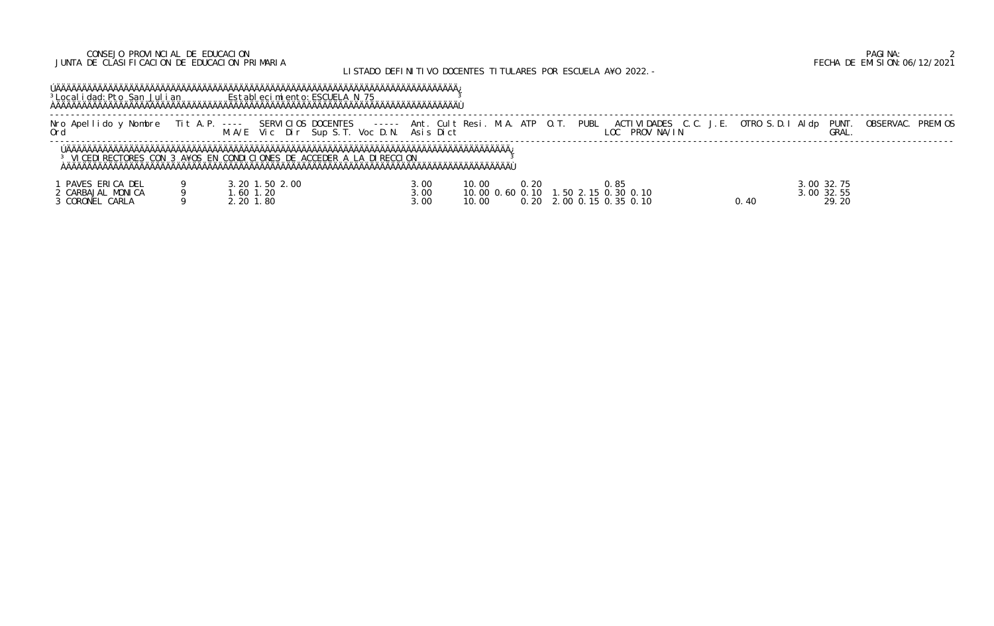#### CONSEJO PROVINCIAL DE EDUCACION PAGINA: 2 JUNTA DE CLASIFICACION DE EDUCACION PRIMARIA FECHA DE EMISION:06/12/2021

## LISTADO DEFINITIVO DOCENTES TITULARES POR ESCUELA A¥O 2022.-

### ÚÄÄÄÄÄÄÄÄÄÄÄÄÄÄÄÄÄÄÄÄÄÄÄÄÄÄÄÄÄÄÄÄÄÄÄÄÄÄÄÄÄÄÄÄÄÄÄÄÄÄÄÄÄÄÄÄÄÄÄÄÄÄÄÄÄÄÄÄÄÄÄÄÄÄÄÄÄ¿ <sup>3</sup>Localidad:Pto San Julian Establecimiento:ESCUELA N 75 <sup>3</sup> ÀÄÄÄÄÄÄÄÄÄÄÄÄÄÄÄÄÄÄÄÄÄÄÄÄÄÄÄÄÄÄÄÄÄÄÄÄÄÄÄÄÄÄÄÄÄÄÄÄÄÄÄÄÄÄÄÄÄÄÄÄÄÄÄÄÄÄÄÄÄÄÄÄÄÄÄÄÄÙ

 ----------------------------------------------------------------------------------------------------------------------------------------------------------------------------- Nro Apellido y Nombre Tit A.P. ---- SERVICIOS DOCENTES ----- Ant. Cult Resi. M.A. ATP O.T. PUBL ACTIVIDADES C.C. J.E. OTRO S.D.I Aldp PUNT. OBSERVAC. PREMIOS Ord M.A/E Vic Dir Sup S.T. Voc D.N. Asis Dict LOC PROV NA/IN GRAL. -----------------------------------------------------------------------------------------------------------------------------------------------------------------------------

 ÚÄÄÄÄÄÄÄÄÄÄÄÄÄÄÄÄÄÄÄÄÄÄÄÄÄÄÄÄÄÄÄÄÄÄÄÄÄÄÄÄÄÄÄÄÄÄÄÄÄÄÄÄÄÄÄÄÄÄÄÄÄÄÄÄÄÄÄÄÄÄÄÄÄÄÄÄÄÄÄÄÄÄÄÄÄ¿ <sup>3</sup> VICEDIRECTORES CON 3 A¥OS EN CONDICIONES DE ACCEDER A LA DIRECCION <sup>3</sup> ÀÄÄÄÄÄÄÄÄÄÄÄÄÄÄÄÄÄÄÄÄÄÄÄÄÄÄÄÄÄÄÄÄÄÄÄÄÄÄÄÄÄÄÄÄÄÄÄÄÄÄÄÄÄÄÄÄÄÄÄÄÄÄÄÄÄÄÄÄÄÄÄÄÄÄÄÄÄÄÄÄÄÄÄÄÄÙ

| PAVES ERICA DEL | 3.20 1.50 2.00 | 3.00 | 10.00 | 0.20 | 0.85                                |      | 3.00 32.75     |
|-----------------|----------------|------|-------|------|-------------------------------------|------|----------------|
| CARBAJAL MONICA | . 60 1. 20     | 3.00 |       |      | 10,00 0,60 0,10 1,50 2,15 0,30 0,10 |      | $3.00$ $32.55$ |
| CORONEL CARLA   | 20 1.80        | 3.00 | 10.00 |      | 0.20 2.00 0.15 0.35 0.10            | . 40 | 29.20          |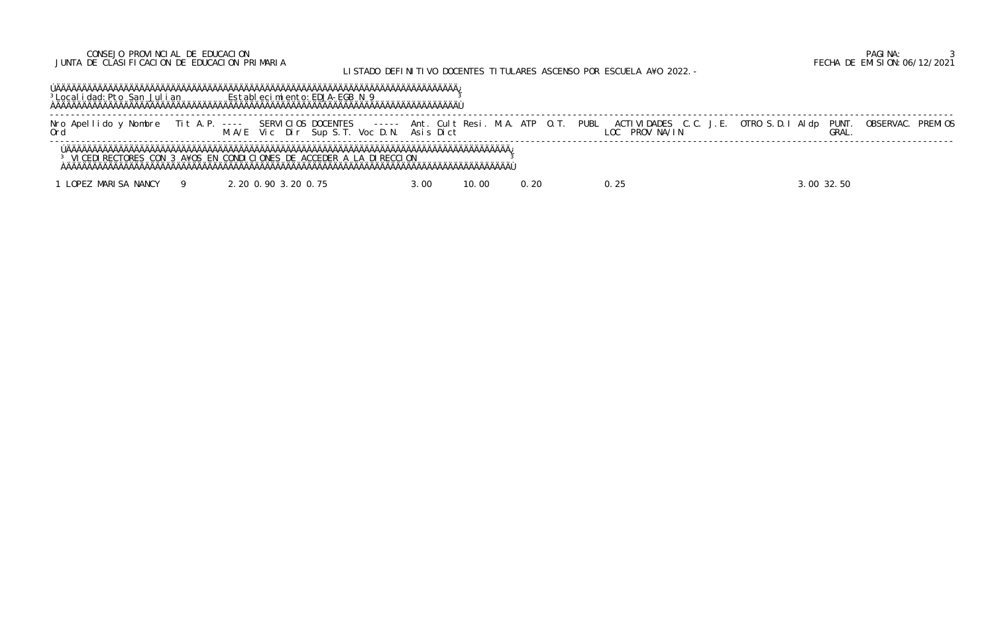### CONSEJO PROVINCIAL DE EDUCACION PAGINA: 3 JUNTA DE CLASIFICACION DE EDUCACION PRIMARIA FECHA DE EMISION:06/12/2021

# LISTADO DEFINITIVO DOCENTES TITULARES ASCENSO POR ESCUELA A¥O 2022.-

 ÚÄÄÄÄÄÄÄÄÄÄÄÄÄÄÄÄÄÄÄÄÄÄÄÄÄÄÄÄÄÄÄÄÄÄÄÄÄÄÄÄÄÄÄÄÄÄÄÄÄÄÄÄÄÄÄÄÄÄÄÄÄÄÄÄÄÄÄÄÄÄÄÄÄÄÄÄÄ¿ <sup>3</sup>Localidad:Pto San Julian Establecimiento:EDJA-EGB N 9 <sup>3</sup> ÀÄÄÄÄÄÄÄÄÄÄÄÄÄÄÄÄÄÄÄÄÄÄÄÄÄÄÄÄÄÄÄÄÄÄÄÄÄÄÄÄÄÄÄÄÄÄÄÄÄÄÄÄÄÄÄÄÄÄÄÄÄÄÄÄÄÄÄÄÄÄÄÄÄÄÄÄÄÙ

 ----------------------------------------------------------------------------------------------------------------------------------------------------------------------------- Nro Apellido y Nombre Tit A.P. ---- SERVICIOS DOCENTES ----- Ant. Cult Resi. M.A. ATP O.T. PUBL ACTIVIDADES C.C. J.E. OTRO S.D.I Aldp PUNT. OBSERVAC. PREMIOS Ord M.A/E Vic Dir Sup S.T. Voc D.N. Asis Dict LOC PROV NA/IN GRAL. -----------------------------------------------------------------------------------------------------------------------------------------------------------------------------

 ÚÄÄÄÄÄÄÄÄÄÄÄÄÄÄÄÄÄÄÄÄÄÄÄÄÄÄÄÄÄÄÄÄÄÄÄÄÄÄÄÄÄÄÄÄÄÄÄÄÄÄÄÄÄÄÄÄÄÄÄÄÄÄÄÄÄÄÄÄÄÄÄÄÄÄÄÄÄÄÄÄÄÄÄÄÄ¿ <sup>3</sup> VICEDIRECTORES CON 3 A¥OS EN CONDICIONES DE ACCEDER A LA DIRECCION <sup>3</sup> ÀÄÄÄÄÄÄÄÄÄÄÄÄÄÄÄÄÄÄÄÄÄÄÄÄÄÄÄÄÄÄÄÄÄÄÄÄÄÄÄÄÄÄÄÄÄÄÄÄÄÄÄÄÄÄÄÄÄÄÄÄÄÄÄÄÄÄÄÄÄÄÄÄÄÄÄÄÄÄÄÄÄÄÄÄÄÙ

1 LOPEZ MARISA NANCY 9 2.20 0.90 3.20 0.75 3.00 10.00 0.20 0.25 3.00 32.50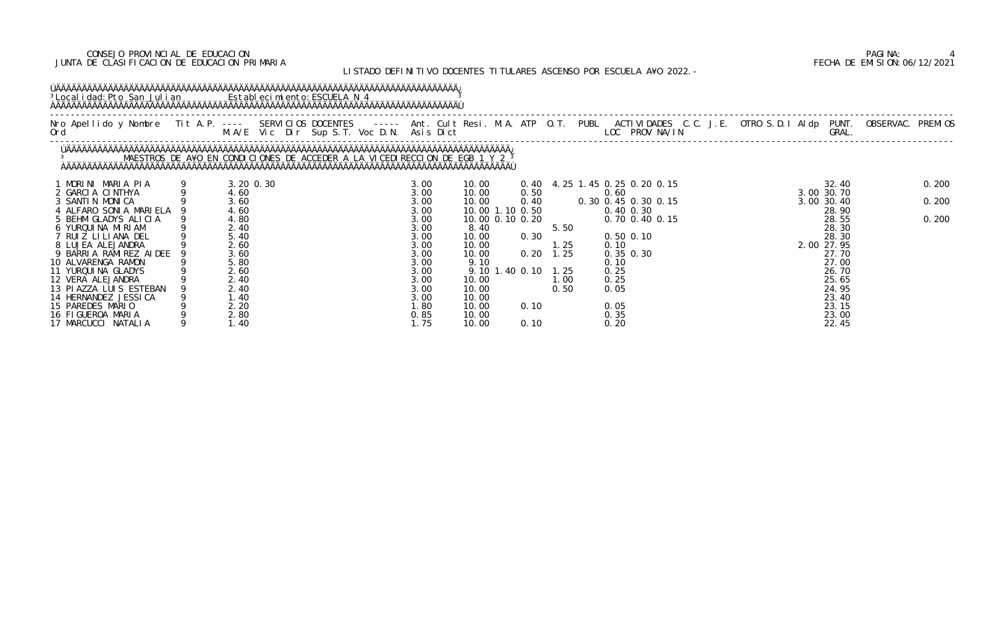### CONSEJO PROVINCIAL DE EDUCACION PAGINA: 4 JUNTA DE CLASIFICACION DE EDUCACION PRIMARIA FECHA DE EMISION:06/12/2021

# LISTADO DEFINITIVO DOCENTES TITULARES ASCENSO POR ESCUELA A¥O 2022.-

### ÚÄÄÄÄÄÄÄÄÄÄÄÄÄÄÄÄÄÄÄÄÄÄÄÄÄÄÄÄÄÄÄÄÄÄÄÄÄÄÄÄÄÄÄÄÄÄÄÄÄÄÄÄÄÄÄÄÄÄÄÄÄÄÄÄÄÄÄÄÄÄÄÄÄÄÄÄÄ¿ <sup>3</sup>Localidad:Pto San Julian Establecimiento:ESCUELA N 4 <sup>3</sup> ÀÄÄÄÄÄÄÄÄÄÄÄÄÄÄÄÄÄÄÄÄÄÄÄÄÄÄÄÄÄÄÄÄÄÄÄÄÄÄÄÄÄÄÄÄÄÄÄÄÄÄÄÄÄÄÄÄÄÄÄÄÄÄÄÄÄÄÄÄÄÄÄÄÄÄÄÄÄÙ

| MAESTROS DE A¥O EN CONDICIONES DE ACCEDER A LA VICEDIRECCION DE EGB 1 Y 2 3 |                |  |      |       |       |                 |             |                               |  |            |       |
|-----------------------------------------------------------------------------|----------------|--|------|-------|-------|-----------------|-------------|-------------------------------|--|------------|-------|
| I MORINI MARIA PIA                                                          | $3.20 \, 0.30$ |  | 3.00 | 10.00 |       |                 |             | 0.40 4.25 1.45 0.25 0.20 0.15 |  | 32.40      | 0.200 |
| 2 GARCIA CINTHYA                                                            | 4.60           |  | 3.00 | 10.00 |       | 0.50            |             | 0.60                          |  | 3.00 30.70 |       |
| 3 SANTIN MONICA                                                             | 3.60           |  | 3.00 | 10.00 |       | 0.40            |             | 0.30 0.45 0.30 0.15           |  | 3.00 30.40 | 0.200 |
| 4 ALFARO SONIA MARIELA                                                      | 4.60           |  | 3.00 |       |       | 10.00 1.10 0.50 |             | 0.40 0.30                     |  | 28.90      |       |
| 5 BEHM GLADYS ALICIA                                                        | 4.80           |  | 3.00 |       |       | 10.00 0.10 0.20 |             | 0.70 0.40 0.15                |  | 28.55      | 0.200 |
| 6 YURQUINA MIRIAM                                                           | 2.40           |  | 3.00 | 8.40  |       |                 | 5.50        |                               |  | 28.30      |       |
| 7 RUIZ LILIANA DEL                                                          | 5.40           |  | 3.00 | 10.00 |       | 0.30            |             | $0.50$ $0.10$                 |  | 28.30      |       |
| 8 LUJEA ALEJANDRA                                                           | 2.60           |  | 3.00 | 10.00 |       |                 | 1.25        | 0.10                          |  | 2.00 27.95 |       |
| 9 BARRIA RAMIREZ AIDEE                                                      | 3.60           |  | 3.00 | 10.00 |       |                 | $0.20$ 1.25 | $0.35$ $0.30$                 |  | 27.70      |       |
| 10 ALVARENGA RAMON                                                          | 5.80           |  | 3.00 | 9.10  |       |                 |             | 0.10                          |  | 27.00      |       |
| 11 YURQUINA GLADYS                                                          | 2.60           |  | 3.00 |       | 9.101 | $.40$ 0.10 1.25 |             | 0.25                          |  | 26.70      |       |
| 12 VERA ALEJANDRA                                                           | 2.40           |  | 3.00 | 10.00 |       |                 | 1.00        | 0.25                          |  | 25.65      |       |
| 13 PIAZZA LUIS ESTEBAN                                                      | 2.40           |  | 3.00 | 10.00 |       |                 | 0.50        | 0.05                          |  | 24.95      |       |
| 14 HERNANDEZ JESSI CA                                                       | 1.40           |  | 3.00 | 10.00 |       |                 |             |                               |  | 23.40      |       |
| 15 PAREDES MARIO                                                            | 2.20           |  | 1.80 | 10.00 |       | 0.10            |             | 0.05                          |  | 23.15      |       |
| 16 FIGUEROA MARIA                                                           | 2.80           |  | 0.85 | 10.00 |       |                 |             | 0.35                          |  | 23.00      |       |
| 17 MARCUCCI NATALIA                                                         | 1.40           |  | 1.75 | 10.00 |       | 0.10            |             | 0.20                          |  | 22.45      |       |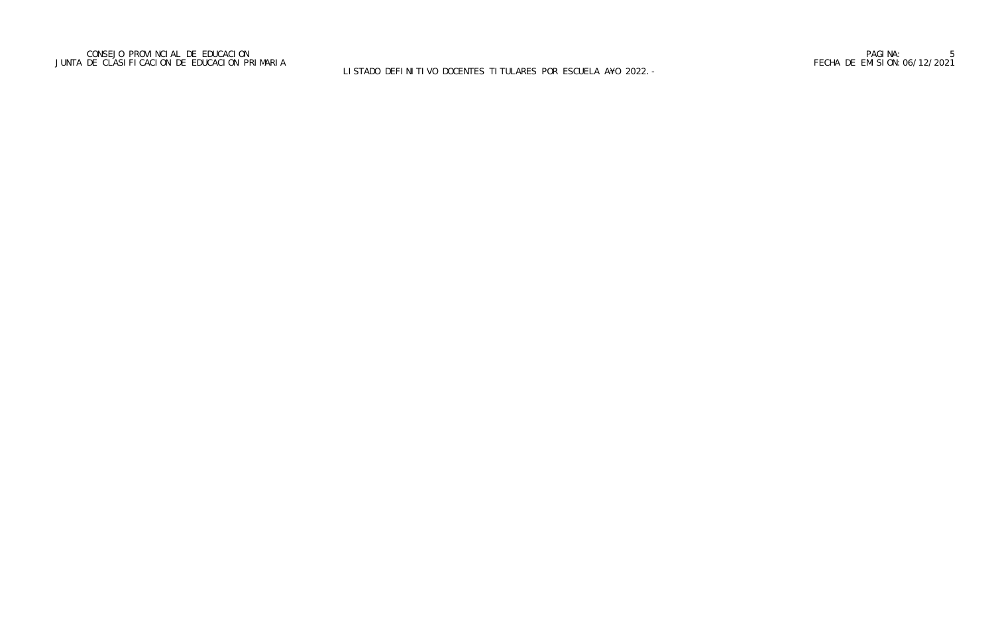CONSEJO PROVINCIAL DE EDUCACION PAGINA: 5 JUNTA DE CLASIFICACION DE EDUCACION PRIMARIA FECHA DE EMISION:06/12/2021

LISTADO DEFINITIVO DOCENTES TITULARES POR ESCUELA A¥O 2022.-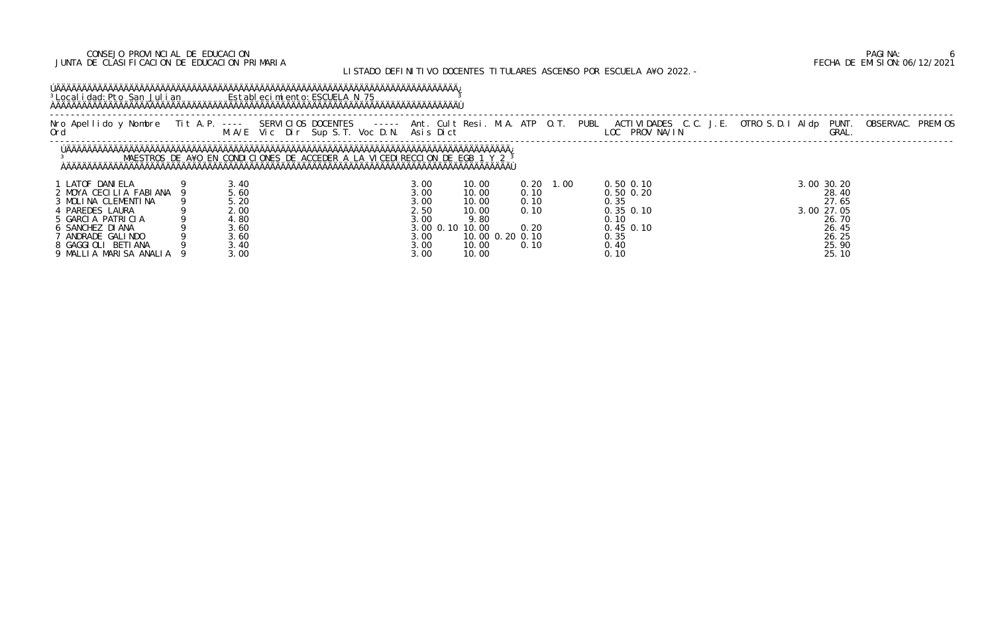#### CONSEJO PROVINCIAL DE EDUCACION PAGINA: 6 JUNTA DE CLASIFICACION DE EDUCACION PRIMARIA FECHA DE EMISION:06/12/2021

# LISTADO DEFINITIVO DOCENTES TITULARES ASCENSO POR ESCUELA A¥O 2022.-

### ÚÄÄÄÄÄÄÄÄÄÄÄÄÄÄÄÄÄÄÄÄÄÄÄÄÄÄÄÄÄÄÄÄÄÄÄÄÄÄÄÄÄÄÄÄÄÄÄÄÄÄÄÄÄÄÄÄÄÄÄÄÄÄÄÄÄÄÄÄÄÄÄÄÄÄÄÄÄ¿ <sup>3</sup>Localidad:Pto San Julian Establecimiento:ESCUELA N 75 <sup>3</sup> ÀÄÄÄÄÄÄÄÄÄÄÄÄÄÄÄÄÄÄÄÄÄÄÄÄÄÄÄÄÄÄÄÄÄÄÄÄÄÄÄÄÄÄÄÄÄÄÄÄÄÄÄÄÄÄÄÄÄÄÄÄÄÄÄÄÄÄÄÄÄÄÄÄÄÄÄÄÄÙ

| Nro Apellido y Nombre Tit A.P. ---- SERVICIOS DOCENTES ----- Ant. Cult Resi. M.A. ATP O.T. PUBL ACTIVIDADES C.C. J.E. OTRO S.D.I Aldp PUNT. OBSERVAC. PREMIOS |         |  |                                           |       |             |  |                |  |                             |  |
|---------------------------------------------------------------------------------------------------------------------------------------------------------------|---------|--|-------------------------------------------|-------|-------------|--|----------------|--|-----------------------------|--|
|                                                                                                                                                               |         |  | M.A/E Vic Dir Sup S.T. Voc D.N. Asis Dict |       |             |  | LOC PROV NA/IN |  | GRAL                        |  |
|                                                                                                                                                               |         |  |                                           |       |             |  |                |  |                             |  |
| MAESTROS DE A¥O EN CONDICIONES DE ACCEDER A LA VICEDIRECCION DE EGB 1 Y 2 3                                                                                   |         |  |                                           |       |             |  |                |  |                             |  |
|                                                                                                                                                               |         |  |                                           |       |             |  |                |  |                             |  |
| LATOF DANI ELA                                                                                                                                                | (3, 40) |  |                                           | 10.00 | $0.20$ 1.00 |  | $0.50$ $0.10$  |  | 3.00 30.20                  |  |
| 2 MOYA CECILIA FABIANA 9                                                                                                                                      | 5.60    |  |                                           | 10.00 | 0.10        |  | $0.50$ $0.20$  |  |                             |  |
|                                                                                                                                                               |         |  |                                           |       | .           |  |                |  | $\sim$ $\sim$ $\sim$ $\sim$ |  |

| LATOF<br>DANI ELA      | - 40  | 3.00            | 10.00           | . 00<br>0.20 | $0.50 \, 0.10$ | 30.20<br>3.00 |
|------------------------|-------|-----------------|-----------------|--------------|----------------|---------------|
| 2 MOYA CECILIA FABIANA | 5. 60 | 3.00            | 10.00           | 0.10         | $0.50$ $0.20$  | 28.40         |
| 3 MOLINA CLEMENTINA    | 5.20  | 3.00            | 10.00           | 0.10         | 0.35           | 27.65         |
| PAREDES LAURA          | 2.00  | 2.50            | 10.00           | 0.10         | $0.35$ $0.10$  | 3.00 27.05    |
| GARCIA PATRICIA        | 4.80  | 3.00            | 9.80            |              | 0.10           | 26.70         |
| SANCHEZ DI ANA         | 3.60  | 3.00 0.10 10.00 |                 | 0.20         | $0.45$ 0.10    | 26.45         |
| ANDRADE GALINDO        | .60   | 3.00            | 10.00 0.20 0.10 |              | 0.35           | 26.25         |
| 8 GAGGIOLI<br>BETI ANA | 3.40  | 3.00            | 10.00           | 0.10         | 0.40           | 25.90         |
| 9 MALLIA MARISA ANALIA | 3.00  | 3.00            | 10.00           |              | 0.10           | 25.10         |
|                        |       |                 |                 |              |                |               |